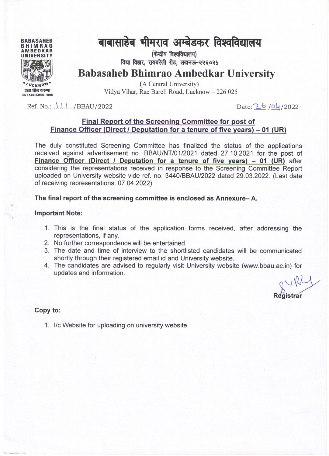

## बाबासाहेब भीमराव अम्बेडकर विश्वविद्यालय

(केन्द्रीय विश्वविद्यालय) विद्या विहार. रायबरेली रोड. लखनऊ-२२६०२५

**Babasaheb Bhimrao Ambedkar University** 

(A Central University) Vidya Vihar, Rae Bareli Road, Lucknow - 226 025

Ref. No.; .\.\.\.\./BBAU/2022

Date: 26/04/2022

#### Final Report of the Screening Committee for post of Finance Officer (Direct / Deputation for a tenure of five years) – 01 (UR)

The duly constituted Screening Committee has finalized the status of the applications received against advertisement no. BBAU/NT/01/2021 dated 27.10.2021 for the post of Finance Officer (Direct / Deputation for a tenure of five years) - 01 (UR) after considering the representations received in response to the Screening Committee Report uploaded on University website vide ref. no. 3440/BBAU/2022 dated 29.03.2022. (Last date of receiving representations: 07.04.2022)

The final report of the screening committee is enclosed as Annexure-A.

#### **Important Note:**

- 1. This is the final status of the application forms received, after addressing the representations, if any.
- 2. No further correspondence will be entertained.
- 3. The date and time of interview to the shortlisted candidates will be communicated shortly through their registered email id and University website.
- 4. The candidates are advised to regularly visit University website (www.bbau.ac.in) for updates and information.

griffly

#### Copy to:

1. I/c Website for uploading on university website.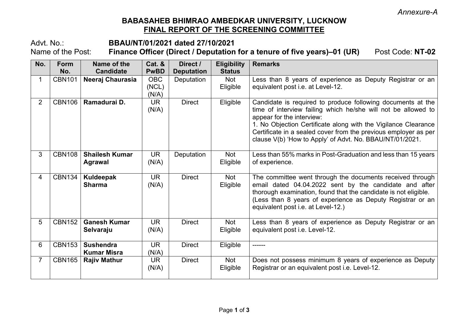### **BABASAHEB BHIMRAO AMBEDKAR UNIVERSITY, LUCKNOW FINAL REPORT OF THE SCREENING COMMITTEE**

# Advt. No.: **BBAU/NT/01/2021 dated 27/10/2021**

Finance Officer (Direct / Deputation for a tenure of five years)-01 (UR) Post Code: NT-02

| No.            | <b>Form</b><br>No. | Name of the<br><b>Candidate</b>        | <b>Cat. &amp;</b><br><b>PwBD</b> | Direct /<br><b>Deputation</b> | <b>Eligibility</b><br><b>Status</b> | <b>Remarks</b>                                                                                                                                                                                                                                                                                                                                             |
|----------------|--------------------|----------------------------------------|----------------------------------|-------------------------------|-------------------------------------|------------------------------------------------------------------------------------------------------------------------------------------------------------------------------------------------------------------------------------------------------------------------------------------------------------------------------------------------------------|
|                | <b>CBN101</b>      | Neeraj Chaurasia                       | <b>OBC</b><br>(NCL)<br>(N/A)     | Deputation                    | Not<br>Eligible                     | Less than 8 years of experience as Deputy Registrar or an<br>equivalent post i.e. at Level-12.                                                                                                                                                                                                                                                             |
| $\overline{2}$ | <b>CBN106</b>      | Ramadurai D.                           | UR.<br>(N/A)                     | <b>Direct</b>                 | Eligible                            | Candidate is required to produce following documents at the<br>time of interview failing which he/she will not be allowed to<br>appear for the interview:<br>1. No Objection Certificate along with the Vigilance Clearance<br>Certificate in a sealed cover from the previous employer as per<br>clause V(b) 'How to Apply' of Advt. No. BBAU/NT/01/2021. |
| 3              | <b>CBN108</b>      | <b>Shailesh Kumar</b><br>Agrawal       | <b>UR</b><br>(N/A)               | Deputation                    | Not<br>Eligible                     | Less than 55% marks in Post-Graduation and less than 15 years<br>of experience.                                                                                                                                                                                                                                                                            |
| $\overline{4}$ | <b>CBN134</b>      | Kuldeepak<br><b>Sharma</b>             | <b>UR</b><br>(N/A)               | <b>Direct</b>                 | Not<br>Eligible                     | The committee went through the documents received through<br>email dated 04.04.2022 sent by the candidate and after<br>thorough examination, found that the candidate is not eligible.<br>(Less than 8 years of experience as Deputy Registrar or an<br>equivalent post i.e. at Level-12.)                                                                 |
| 5              | <b>CBN152</b>      | <b>Ganesh Kumar</b><br>Selvaraju       | <b>UR</b><br>(N/A)               | <b>Direct</b>                 | Not<br>Eligible                     | Less than 8 years of experience as Deputy Registrar or an<br>equivalent post i.e. Level-12.                                                                                                                                                                                                                                                                |
| 6              | <b>CBN153</b>      | <b>Sushendra</b><br><b>Kumar Misra</b> | <b>UR</b><br>(N/A)               | <b>Direct</b>                 | Eligible                            | ------                                                                                                                                                                                                                                                                                                                                                     |
| $\overline{7}$ | <b>CBN165</b>      | <b>Rajiv Mathur</b>                    | <b>UR</b><br>(N/A)               | <b>Direct</b>                 | Not<br>Eligible                     | Does not possess minimum 8 years of experience as Deputy<br>Registrar or an equivalent post i.e. Level-12.                                                                                                                                                                                                                                                 |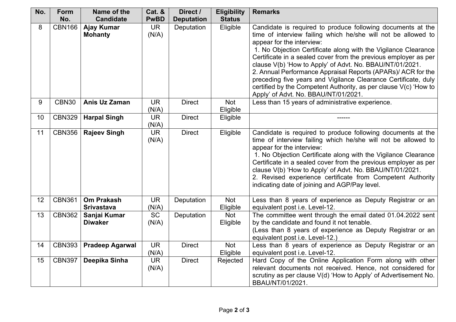| No. | <b>Form</b>   | Name of the            | Cat. &      | Direct /          | <b>Eligibility</b> | <b>Remarks</b>                                                                           |
|-----|---------------|------------------------|-------------|-------------------|--------------------|------------------------------------------------------------------------------------------|
|     | No.           | <b>Candidate</b>       | <b>PwBD</b> | <b>Deputation</b> | <b>Status</b>      |                                                                                          |
| 8   | <b>CBN166</b> | <b>Ajay Kumar</b>      | <b>UR</b>   | Deputation        | Eligible           | Candidate is required to produce following documents at the                              |
|     |               | <b>Mohanty</b>         | (N/A)       |                   |                    | time of interview failing which he/she will not be allowed to                            |
|     |               |                        |             |                   |                    | appear for the interview:                                                                |
|     |               |                        |             |                   |                    | 1. No Objection Certificate along with the Vigilance Clearance                           |
|     |               |                        |             |                   |                    | Certificate in a sealed cover from the previous employer as per                          |
|     |               |                        |             |                   |                    | clause V(b) 'How to Apply' of Advt. No. BBAU/NT/01/2021.                                 |
|     |               |                        |             |                   |                    | 2. Annual Performance Appraisal Reports (APARs)/ ACR for the                             |
|     |               |                        |             |                   |                    | preceding five years and Vigilance Clearance Certificate, duly                           |
|     |               |                        |             |                   |                    | certified by the Competent Authority, as per clause V(c) 'How to                         |
| 9   | <b>CBN30</b>  | Anis Uz Zaman          | <b>UR</b>   | <b>Direct</b>     | Not                | Apply' of Advt. No. BBAU/NT/01/2021.<br>Less than 15 years of administrative experience. |
|     |               |                        | (N/A)       |                   | Eligible           |                                                                                          |
| 10  | <b>CBN329</b> | <b>Harpal Singh</b>    | <b>UR</b>   | <b>Direct</b>     | Eligible           |                                                                                          |
|     |               |                        | (N/A)       |                   |                    |                                                                                          |
| 11  | <b>CBN356</b> | <b>Rajeev Singh</b>    | <b>UR</b>   | <b>Direct</b>     | Eligible           | Candidate is required to produce following documents at the                              |
|     |               |                        | (N/A)       |                   |                    | time of interview failing which he/she will not be allowed to                            |
|     |               |                        |             |                   |                    | appear for the interview:                                                                |
|     |               |                        |             |                   |                    | 1. No Objection Certificate along with the Vigilance Clearance                           |
|     |               |                        |             |                   |                    | Certificate in a sealed cover from the previous employer as per                          |
|     |               |                        |             |                   |                    | clause V(b) 'How to Apply' of Advt. No. BBAU/NT/01/2021.                                 |
|     |               |                        |             |                   |                    | 2. Revised experience certificate from Competent Authority                               |
|     |               |                        |             |                   |                    | indicating date of joining and AGP/Pay level.                                            |
| 12  | <b>CBN361</b> | <b>Om Prakash</b>      | <b>UR</b>   | Deputation        | Not                | Less than 8 years of experience as Deputy Registrar or an                                |
|     |               | <b>Srivastava</b>      | (N/A)       |                   | Eligible           | equivalent post i.e. Level-12.                                                           |
| 13  | <b>CBN362</b> | Sanjai Kumar           | <b>SC</b>   | Deputation        | Not                | The committee went through the email dated 01.04.2022 sent                               |
|     |               | <b>Diwaker</b>         | (N/A)       |                   | Eligible           | by the candidate and found it not tenable.                                               |
|     |               |                        |             |                   |                    | (Less than 8 years of experience as Deputy Registrar or an                               |
|     |               |                        |             |                   |                    | equivalent post i.e. Level-12.)                                                          |
| 14  | <b>CBN393</b> | <b>Pradeep Agarwal</b> | <b>UR</b>   | <b>Direct</b>     | Not                | Less than 8 years of experience as Deputy Registrar or an                                |
|     |               |                        | (N/A)       |                   | Eligible           | equivalent post i.e. Level-12.                                                           |
| 15  | <b>CBN397</b> | Deepika Sinha          | <b>UR</b>   | <b>Direct</b>     | Rejected           | Hard Copy of the Online Application Form along with other                                |
|     |               |                        | (N/A)       |                   |                    | relevant documents not received. Hence, not considered for                               |
|     |               |                        |             |                   |                    | scrutiny as per clause V(d) 'How to Apply' of Advertisement No.                          |
|     |               |                        |             |                   |                    | BBAU/NT/01/2021.                                                                         |